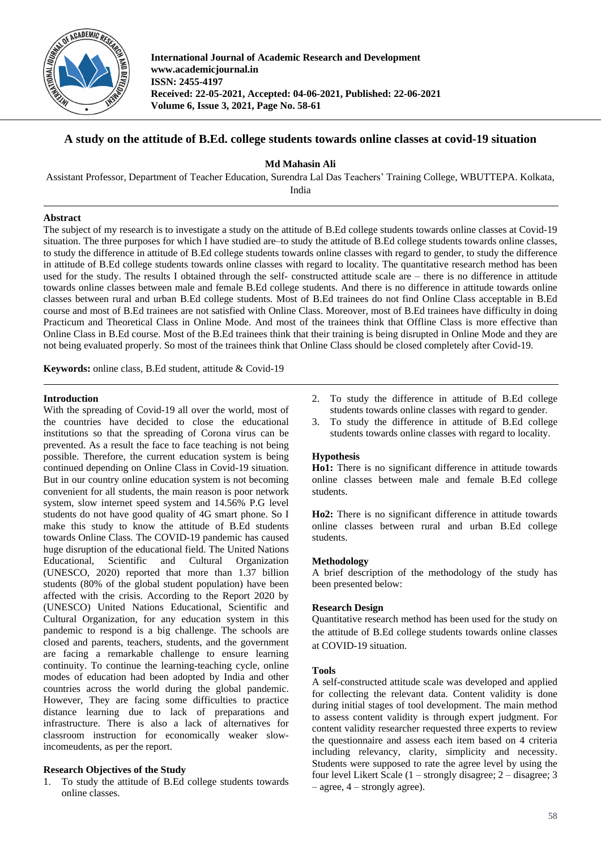

**International Journal of Academic Research and Development www.academicjournal.in ISSN: 2455-4197 Received: 22-05-2021, Accepted: 04-06-2021, Published: 22-06-2021 Volume 6, Issue 3, 2021, Page No. 58-61**

# **A study on the attitude of B.Ed. college students towards online classes at covid-19 situation**

**Md Mahasin Ali**

Assistant Professor, Department of Teacher Education, Surendra Lal Das Teachers' Training College, WBUTTEPA. Kolkata,

India

## **Abstract**

The subject of my research is to investigate a study on the attitude of B.Ed college students towards online classes at Covid-19 situation. The three purposes for which I have studied are–to study the attitude of B.Ed college students towards online classes, to study the difference in attitude of B.Ed college students towards online classes with regard to gender, to study the difference in attitude of B.Ed college students towards online classes with regard to locality. The quantitative research method has been used for the study. The results I obtained through the self- constructed attitude scale are – there is no difference in attitude towards online classes between male and female B.Ed college students. And there is no difference in attitude towards online classes between rural and urban B.Ed college students. Most of B.Ed trainees do not find Online Class acceptable in B.Ed course and most of B.Ed trainees are not satisfied with Online Class. Moreover, most of B.Ed trainees have difficulty in doing Practicum and Theoretical Class in Online Mode. And most of the trainees think that Offline Class is more effective than Online Class in B.Ed course. Most of the B.Ed trainees think that their training is being disrupted in Online Mode and they are not being evaluated properly. So most of the trainees think that Online Class should be closed completely after Covid-19.

**Keywords:** online class, B.Ed student, attitude & Covid-19

## **Introduction**

With the spreading of Covid-19 all over the world, most of the countries have decided to close the educational institutions so that the spreading of Corona virus can be prevented. As a result the face to face teaching is not being possible. Therefore, the current education system is being continued depending on Online Class in Covid-19 situation. But in our country online education system is not becoming convenient for all students, the main reason is poor network system, slow internet speed system and 14.56% P.G level students do not have good quality of 4G smart phone. So I make this study to know the attitude of B.Ed students towards Online Class. The COVID-19 pandemic has caused huge disruption of the educational field. The United Nations Educational, Scientific and Cultural Organization (UNESCO, 2020) reported that more than 1.37 billion students (80% of the global student population) have been affected with the crisis. According to the Report 2020 by (UNESCO) United Nations Educational, Scientific and Cultural Organization, for any education system in this pandemic to respond is a big challenge. The schools are closed and parents, teachers, students, and the government are facing a remarkable challenge to ensure learning continuity. To continue the learning-teaching cycle, online modes of education had been adopted by India and other countries across the world during the global pandemic. However, They are facing some difficulties to practice distance learning due to lack of preparations and infrastructure. There is also a lack of alternatives for classroom instruction for economically weaker slowincomeudents, as per the report.

## **Research Objectives of the Study**

1. To study the attitude of B.Ed college students towards online classes.

- 2. To study the difference in attitude of B.Ed college students towards online classes with regard to gender.
- 3. To study the difference in attitude of B.Ed college students towards online classes with regard to locality.

## **Hypothesis**

**Ho1:** There is no significant difference in attitude towards online classes between male and female B.Ed college students.

**Ho2:** There is no significant difference in attitude towards online classes between rural and urban B.Ed college students.

### **Methodology**

A brief description of the methodology of the study has been presented below:

## **Research Design**

Quantitative research method has been used for the study on the attitude of B.Ed college students towards online classes at COVID-19 situation.

### **Tools**

A self-constructed attitude scale was developed and applied for collecting the relevant data. Content validity is done during initial stages of tool development. The main method to assess content validity is through expert judgment. For content validity researcher requested three experts to review the questionnaire and assess each item based on 4 criteria including relevancy, clarity, simplicity and necessity. Students were supposed to rate the agree level by using the four level Likert Scale (1 – strongly disagree; 2 – disagree; 3  $-$  agree,  $4$  – strongly agree).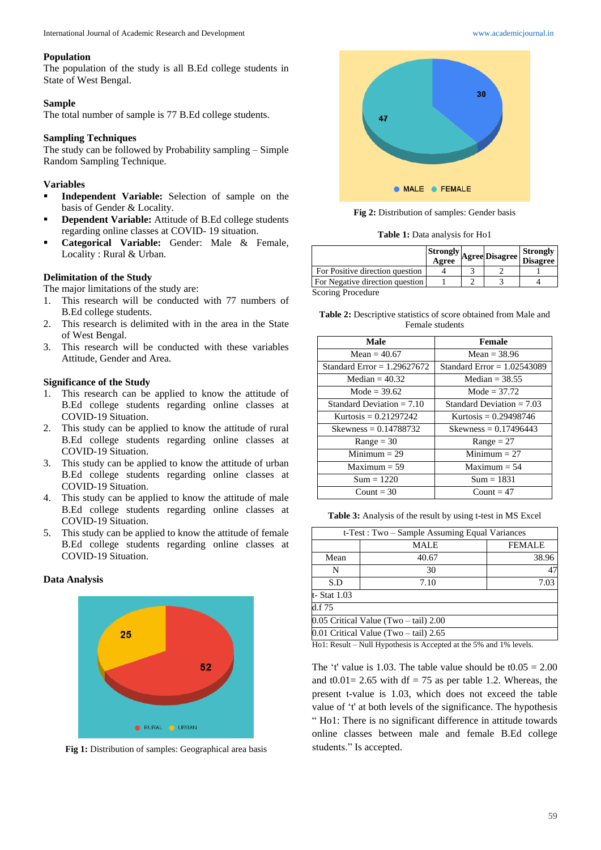#### **Population**

The population of the study is all B.Ed college students in State of West Bengal.

### **Sample**

The total number of sample is 77 B.Ed college students.

## **Sampling Techniques**

The study can be followed by Probability sampling – Simple Random Sampling Technique.

## **Variables**

- **Independent Variable:** Selection of sample on the basis of Gender & Locality.
- **Dependent Variable:** Attitude of B.Ed college students regarding online classes at COVID- 19 situation.
- **Categorical Variable:** Gender: Male & Female, Locality : Rural & Urban.

#### **Delimitation of the Study**

The major limitations of the study are:

- 1. This research will be conducted with 77 numbers of B.Ed college students.
- 2. This research is delimited with in the area in the State of West Bengal.
- 3. This research will be conducted with these variables Attitude, Gender and Area.

## **Significance of the Study**

- 1. This research can be applied to know the attitude of B.Ed college students regarding online classes at COVID-19 Situation.
- 2. This study can be applied to know the attitude of rural B.Ed college students regarding online classes at COVID-19 Situation.
- 3. This study can be applied to know the attitude of urban B.Ed college students regarding online classes at COVID-19 Situation.
- 4. This study can be applied to know the attitude of male B.Ed college students regarding online classes at COVID-19 Situation.
- 5. This study can be applied to know the attitude of female B.Ed college students regarding online classes at COVID-19 Situation.

#### **Data Analysis**



**Fig 1:** Distribution of samples: Geographical area basis



**Fig 2:** Distribution of samples: Gender basis

**Table 1:** Data analysis for Ho1

|                                 |  | Strongly Agree Disagree Strongly<br>Agree Disagree Disagree |
|---------------------------------|--|-------------------------------------------------------------|
| For Positive direction question |  |                                                             |
| For Negative direction question |  |                                                             |
| Scoring Procedure               |  |                                                             |

coring Procedur

| <b>Table 2:</b> Descriptive statistics of score obtained from Male and |  |  |
|------------------------------------------------------------------------|--|--|
| Female students                                                        |  |  |

| <b>Male</b>                   | <b>Female</b>                 |
|-------------------------------|-------------------------------|
| Mean $=$ 40.67                | Mean = $38.96$                |
| Standard Error $= 1.29627672$ | Standard Error $= 1.02543089$ |
| Median $= 40.32$              | Median $=$ 38.55              |
| Mode = $39.62$                | Mode = $37.72$                |
| Standard Deviation $= 7.10$   | Standard Deviation $= 7.03$   |
| Kurtosis = $0.21297242$       | Kurtosis = $0.29498746$       |
| Skewness = $0.14788732$       | Skewness = $0.17496443$       |
| $Range = 30$                  | $Range = 27$                  |
| $Minimum = 29$                | $Minimum = 27$                |
| $Maximum = 59$                | $Maximum = 54$                |
| $Sum = 1220$                  | $Sum = 1831$                  |
| Count = $30$                  | Count = $47$                  |

**Table 3:** Analysis of the result by using t-test in MS Excel

| t-Test : Two – Sample Assuming Equal Variances |       |               |  |
|------------------------------------------------|-------|---------------|--|
|                                                | MALE  | <b>FEMALE</b> |  |
| Mean                                           | 40.67 | 38.96         |  |
| N                                              | 30    |               |  |
| S.D                                            | 7.10  | 7.03          |  |
| t- Stat 1.03                                   |       |               |  |
| d.f 75                                         |       |               |  |
| 0.05 Critical Value (Two - tail) 2.00          |       |               |  |
| 0.01 Critical Value (Two - tail) 2.65          |       |               |  |

Ho1: Result – Null Hypothesis is Accepted at the 5% and 1% levels.

The 't' value is 1.03. The table value should be  $t0.05 = 2.00$ and t0.01 = 2.65 with df = 75 as per table 1.2. Whereas, the present t-value is 1.03, which does not exceed the table value of 't' at both levels of the significance. The hypothesis " Ho1: There is no significant difference in attitude towards online classes between male and female B.Ed college students." Is accepted.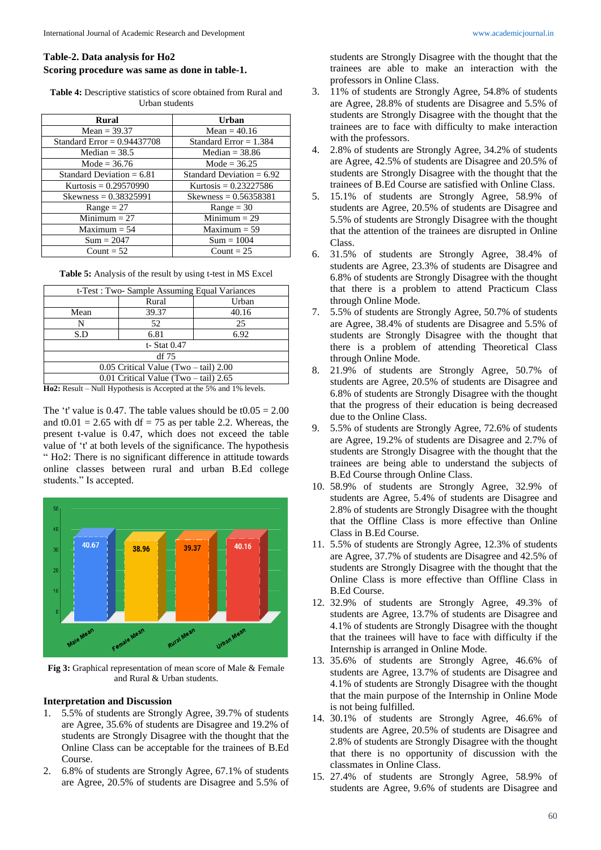## **Table-2. Data analysis for Ho2 Scoring procedure was same as done in table-1.**

**Table 4:** Descriptive statistics of score obtained from Rural and Urban students

| <b>Rural</b>                  | Urban                       |
|-------------------------------|-----------------------------|
| Mean = $39.37$                | Mean = $40.16$              |
| Standard Error = $0.94437708$ | Standard Error $= 1.384$    |
| Median $=$ 38.5               | Median $=$ 38.86            |
| Mode = $36.76$                | Mode = $36.25$              |
| Standard Deviation $= 6.81$   | Standard Deviation $= 6.92$ |
| Kurtosis = $0.29570990$       | Kurtosis = $0.23227586$     |
| Skewness = $0.38325991$       | Skewness = $0.56358381$     |
| $Range = 27$                  | $Range = 30$                |
| Minimum $= 27$                | $Minimum = 29$              |
| $Maximum = 54$                | $Maximum = 59$              |
| $Sum = 2047$                  | $Sum = 1004$                |
| Count = $52$                  | Count = $25$                |

| Table 5: Analysis of the result by using t-test in MS Excel |  |  |
|-------------------------------------------------------------|--|--|
|-------------------------------------------------------------|--|--|

| t-Test : Two- Sample Assuming Equal Variances |       |       |  |
|-----------------------------------------------|-------|-------|--|
|                                               | Rural | Urban |  |
| Mean                                          | 39.37 | 40.16 |  |
| N                                             | 52    | 25    |  |
| S.D                                           | 6.81  | 6.92  |  |
| t- Stat 0.47                                  |       |       |  |
| $df$ 75                                       |       |       |  |
| $0.05$ Critical Value (Two – tail) 2.00       |       |       |  |
| $0.01$ Critical Value (Two – tail) 2.65       |       |       |  |

**Ho2:** Result – Null Hypothesis is Accepted at the 5% and 1% levels.

The 't' value is 0.47. The table values should be  $t0.05 = 2.00$ and t0.01 = 2.65 with df = 75 as per table 2.2. Whereas, the present t-value is 0.47, which does not exceed the table value of 't' at both levels of the significance. The hypothesis " Ho2: There is no significant difference in attitude towards online classes between rural and urban B.Ed college students." Is accepted.



**Fig 3:** Graphical representation of mean score of Male & Female and Rural & Urban students.

### **Interpretation and Discussion**

- 1. 5.5% of students are Strongly Agree, 39.7% of students are Agree, 35.6% of students are Disagree and 19.2% of students are Strongly Disagree with the thought that the Online Class can be acceptable for the trainees of B.Ed Course.
- 2. 6.8% of students are Strongly Agree, 67.1% of students are Agree, 20.5% of students are Disagree and 5.5% of

students are Strongly Disagree with the thought that the trainees are able to make an interaction with the professors in Online Class.

- 3. 11% of students are Strongly Agree, 54.8% of students are Agree, 28.8% of students are Disagree and 5.5% of students are Strongly Disagree with the thought that the trainees are to face with difficulty to make interaction with the professors.
- 4. 2.8% of students are Strongly Agree, 34.2% of students are Agree, 42.5% of students are Disagree and 20.5% of students are Strongly Disagree with the thought that the trainees of B.Ed Course are satisfied with Online Class.
- 5. 15.1% of students are Strongly Agree, 58.9% of students are Agree, 20.5% of students are Disagree and 5.5% of students are Strongly Disagree with the thought that the attention of the trainees are disrupted in Online Class.
- 6. 31.5% of students are Strongly Agree, 38.4% of students are Agree, 23.3% of students are Disagree and 6.8% of students are Strongly Disagree with the thought that there is a problem to attend Practicum Class through Online Mode.
- 7. 5.5% of students are Strongly Agree, 50.7% of students are Agree, 38.4% of students are Disagree and 5.5% of students are Strongly Disagree with the thought that there is a problem of attending Theoretical Class through Online Mode.
- 8. 21.9% of students are Strongly Agree, 50.7% of students are Agree, 20.5% of students are Disagree and 6.8% of students are Strongly Disagree with the thought that the progress of their education is being decreased due to the Online Class.
- 9. 5.5% of students are Strongly Agree, 72.6% of students are Agree, 19.2% of students are Disagree and 2.7% of students are Strongly Disagree with the thought that the trainees are being able to understand the subjects of B.Ed Course through Online Class.
- 10. 58.9% of students are Strongly Agree, 32.9% of students are Agree, 5.4% of students are Disagree and 2.8% of students are Strongly Disagree with the thought that the Offline Class is more effective than Online Class in B.Ed Course.
- 11. 5.5% of students are Strongly Agree, 12.3% of students are Agree, 37.7% of students are Disagree and 42.5% of students are Strongly Disagree with the thought that the Online Class is more effective than Offline Class in B.Ed Course.
- 12. 32.9% of students are Strongly Agree, 49.3% of students are Agree, 13.7% of students are Disagree and 4.1% of students are Strongly Disagree with the thought that the trainees will have to face with difficulty if the Internship is arranged in Online Mode.
- 13. 35.6% of students are Strongly Agree, 46.6% of students are Agree, 13.7% of students are Disagree and 4.1% of students are Strongly Disagree with the thought that the main purpose of the Internship in Online Mode is not being fulfilled.
- 14. 30.1% of students are Strongly Agree, 46.6% of students are Agree, 20.5% of students are Disagree and 2.8% of students are Strongly Disagree with the thought that there is no opportunity of discussion with the classmates in Online Class.
- 15. 27.4% of students are Strongly Agree, 58.9% of students are Agree, 9.6% of students are Disagree and